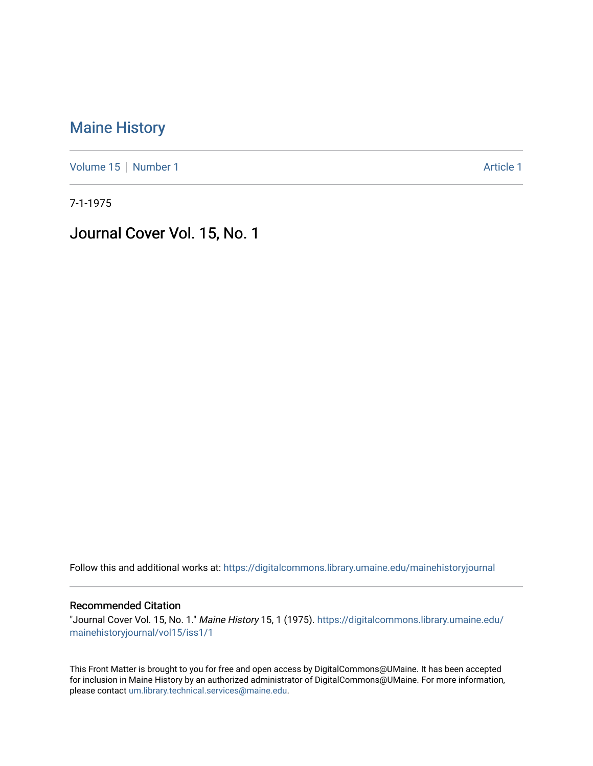## [Maine History](https://digitalcommons.library.umaine.edu/mainehistoryjournal)

[Volume 15](https://digitalcommons.library.umaine.edu/mainehistoryjournal/vol15) [Number 1](https://digitalcommons.library.umaine.edu/mainehistoryjournal/vol15/iss1) Article 1

7-1-1975

Journal Cover Vol. 15, No. 1

Follow this and additional works at: [https://digitalcommons.library.umaine.edu/mainehistoryjournal](https://digitalcommons.library.umaine.edu/mainehistoryjournal?utm_source=digitalcommons.library.umaine.edu%2Fmainehistoryjournal%2Fvol15%2Fiss1%2F1&utm_medium=PDF&utm_campaign=PDFCoverPages) 

## Recommended Citation

"Journal Cover Vol. 15, No. 1." Maine History 15, 1 (1975). [https://digitalcommons.library.umaine.edu/](https://digitalcommons.library.umaine.edu/mainehistoryjournal/vol15/iss1/1?utm_source=digitalcommons.library.umaine.edu%2Fmainehistoryjournal%2Fvol15%2Fiss1%2F1&utm_medium=PDF&utm_campaign=PDFCoverPages) [mainehistoryjournal/vol15/iss1/1](https://digitalcommons.library.umaine.edu/mainehistoryjournal/vol15/iss1/1?utm_source=digitalcommons.library.umaine.edu%2Fmainehistoryjournal%2Fvol15%2Fiss1%2F1&utm_medium=PDF&utm_campaign=PDFCoverPages)

This Front Matter is brought to you for free and open access by DigitalCommons@UMaine. It has been accepted for inclusion in Maine History by an authorized administrator of DigitalCommons@UMaine. For more information, please contact [um.library.technical.services@maine.edu.](mailto:um.library.technical.services@maine.edu)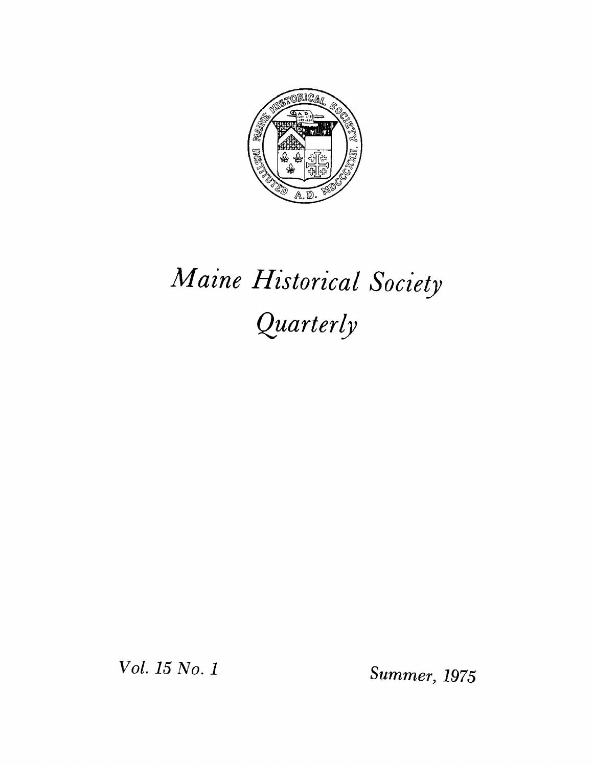

## *Maine Historical Society Quarterly*

*Vol. <sup>15</sup> No. <sup>1</sup> Summer, <sup>1975</sup>*